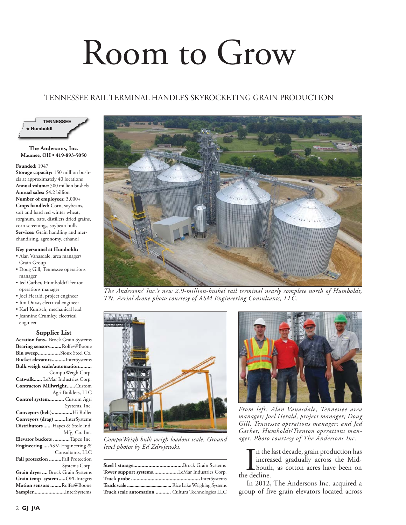# Room to Grow

# TENNESSEE RAIL TERMINAL HANDLES SKYROCKETING GRAIN PRODUCTION



# **The Andersons, Inc. Maumee, OH • 419-893-5050**

#### **Founded:** 1947

**Storage capacity:** 150 million bushels at approximately 40 locations **Annual volume:** 500 million bushels **Annual sales:** \$4.2 billion **Number of employees:** 3,000+ **Crops handled:** Corn, soybeans, soft and hard red winter wheat, sorghum, oats, distillers dried grains, corn screenings, soybean hulls **Services:** Grain handling and merchandising, agronomy, ethanol

### **Key personnel at Humboldt:**

- Alan Vanasdale, area manager/ Grain Group
- Doug Gill, Tennessee operations manager
- Jed Garber, Humboldt/Trenton operations manager
- Joel Herald, project engineer
- Jim Durst, electrical engineer
- Karl Kunisch, mechanical lead
- Jeannine Crumley, electrical engineer

## **Supplier List**

Aeration fans.. Brock Grain Systems **Bearing sensors ........**Rolfes@Boone **Bin sweep ................**Sioux Steel Co. **Bucket elevators ..........**InterSystems **Bulk weigh scale/automation .........** CompuWeigh Corp. **Catwalk ......** LeMar Industries Corp. **Contractor/ Millwright ......**Custom Agri Builders, LLC **Control system ...........** Custom Agri Systems, Inc. **Conveyors (belt)...............**Hi Roller **Conveyors (drag) ........**InterSystems **Distributors ......**Hayes & Stolz Ind. Mfg. Co. Inc. **Elevator buckets ............**Tapco Inc. **Engineering ....**ASM Engineering & Consultants, LLC **Fall protection .........**Fall Protection Systems Corp. **Grain dryer ....** Brock Grain Systems

**Grain temp system .....**OPI-Integris **Motion sensors ........**Rolfes@Boone **Sampler.......................**InterSystems



*The Andersons' Inc.'s new 2.9-million-bushel rail terminal nearly complete north of Humboldt, TN. Aerial drone photo courtesy of ASM Engineering Consultants, LLC.*



CompuWeigh bulk weigh loadout scale. Ground *level photos by Ed Zdrojewski.*

| Tower support systemsLeMar Industries Corp.      |  |
|--------------------------------------------------|--|
|                                                  |  |
|                                                  |  |
| Truck scale automation  Cultura Technologies LLC |  |



*From left: Alan Vanasdale, Tennessee area manager; Joel Herald, project manager; Doug Gill, Tennessee operations manager; and Jed Garber, Humboldt/Trenton operations man-*

In the increase of the decline. n the last decade, grain production has increased gradually across the Mid-South, as cotton acres have been on

In 2012, The Andersons Inc. acquired a group of five grain elevators located across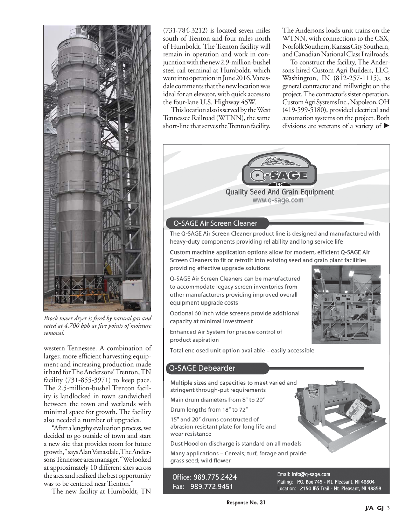

*Brock tower dryer is fired by natural gas and rated at 4,700 bph at five points of moisture removal.*

western Tennessee. A combination of larger, more efficient harvesting equipment and increasing production made it hard for The Andersons' Trenton, TN facility (731-855-3971) to keep pace. The 2.5-million-bushel Trenton facility is landlocked in town sandwiched between the town and wetlands with minimal space for growth. The facility also needed a number of upgrades.

"After a lengthy evaluation process, we decided to go outside of town and start a new site that provides room for future growth," says Alan Vanasdale, The Andersons Tennessee area manager. "We looked at approximately 10 different sites across the area and realized the best opportunity was to be centered near Trenton."

The new facility at Humboldt, TN

(731-784-3212) is located seven miles south of Trenton and four miles north of Humboldt. The Trenton facility will remain in operation and work in conjucntion with the new 2.9-million-bushel steel rail terminal at Humboldt, which went into operation in June 2016. Vanasdale comments that the new location was ideal for an elevator, with quick access to the four-lane U.S. Highway 45W.

This location also is served by the West Tennessee Railroad (WTNN), the same short-line that serves the Trenton facility.

The Andersons loads unit trains on the WTNN, with connections to the CSX, Norfolk Southern, Kansas City Southern, and Canadian National Class I railroads.

To construct the facility, The Andersons hired Custom Agri Builders, LLC, Washington, IN (812-257-1115), as general contractor and millwright on the project. The contractor's sister operation, Custom Agri Systems Inc., Napoleon, OH (419-599-5180), provided electrical and automation systems on the project. Both divisions are veterans of a variety of  $\blacktriangleright$ 



# Q-SAGE Air Screen Cleaner

The Q-SAGE Air Screen Cleaner product line is designed and manufactured with heavy-duty components providing reliability and long service life

Custom machine application options allow for modern, efficient Q-SAGE Air Screen Cleaners to fit or retrofit into existing seed and grain plant facilities providing effective upgrade solutions

O-SAGE Air Screen Cleaners can be manufactured to accommodate legacy screen inventories from other manufacturers providing improved overall equipment upgrade costs

Optional 60 inch wide screens provide additional capacity at minimal investment

Enhanced Air System for precise control of product aspiration



Total enclosed unit option available - easily accessible

# Q-SAGE Debearder

Multiple sizes and capacities to meet varied and stringent through-put requirements

Main drum diameters from 8" to 20"

Drum lengths from 18" to 72"

15" and 20" drums constructed of abrasion resistant plate for long life and wear resistance

Dust Hood on discharge is standard on all models

Many applications - Cereals; turf, forage and prairie grass seed; wild flower

Office: 989.775.2424 Fax: 989.772.9451

Location: 2150 JBS Trail - Mt. Pleasant, MI 48858 **Response No. 31**

Email: Info@q-sage.com

Mailing: P.O. Box 749 - Mt. Pleasant, MI 48804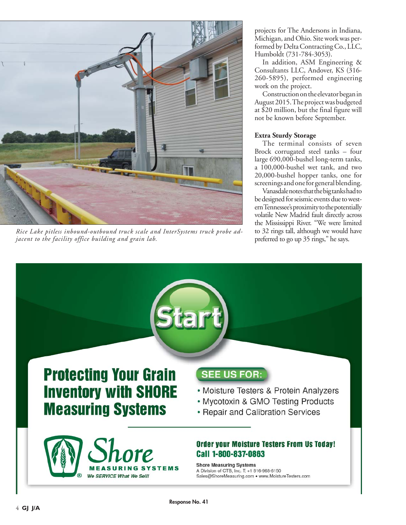

*Rice Lake pitless inbound-outbound truck scale and InterSystems truck probe adjacent to the facility office building and grain lab.*

projects for The Andersons in Indiana, Michigan, and Ohio. Site work was performed by Delta Contracting Co., LLC, Humboldt (731-784-3053).

In addition, ASM Engineering & Consultants LLC, Andover, KS (316- 260-5895), performed engineering work on the project.

Construction on the elevator began in August 2015. The project was budgeted at \$20 million, but the final figure will not be known before September.

# **Extra Sturdy Storage**

The terminal consists of seven Brock corrugated steel tanks – four large 690,000-bushel long-term tanks, a 100,000-bushel wet tank, and two 20,000-bushel hopper tanks, one for screenings and one for general blending.

Vanasdale notes that the big tanks had to be designed for seismic events due to western Tennessee's proximity to the potentially volatile New Madrid fault directly across the Mississippi River. "We were limited to 32 rings tall, although we would have preferred to go up 35 rings," he says.